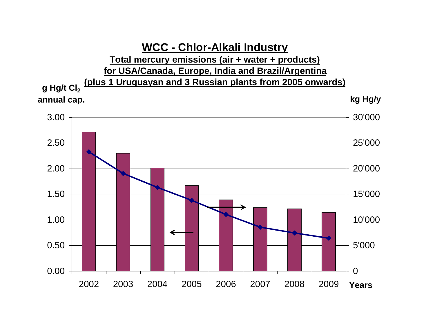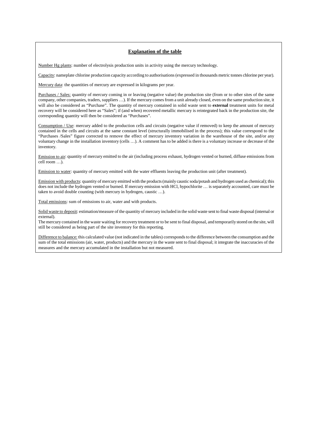### **Explanation of the table**

Number Hg plants: number of electrolysis production units in activity using the mercury technology.

Capacity: nameplate chlorine production capacity according to authorisations (expressed in thousands metric tonnes chlorine per year).

Mercury data: the quantities of mercury are expressed in kilograms per year.

Purchases / Sales: quantity of mercury coming in or leaving (negative value) the production site (from or to other sites of the same company, other companies, traders, suppliers …). If the mercury comes from a unit already closed, even on the same production site, it will also be considered as "Purchase". The quantity of mercury contained in solid waste sent to **external** treatment units for metal recovery will be considered here as "Sales"; if (and when) recovered metallic mercury is reintegrated back in the production site, the corresponding quantity will then be considered as "Purchases".

Consumption / Use: mercury added to the production cells and circuits (negative value if removed) to keep the amount of mercury contained in the cells and circuits at the same constant level (structurally immobilised in the process); this value correspond to the "Purchases /Sales" figure corrected to remove the effect of mercury inventory variation in the warehouse of the site, and/or any voluntary change in the installation inventory (cells …). A comment has to be added is there is a voluntary increase or decrease of the inventory.

Emission to air: quantity of mercury emitted to the air (including process exhaust, hydrogen vented or burned, diffuse emissions from cell room …).

Emission to water: quantity of mercury emitted with the water effluents leaving the production unit (after treatment).

Emission with products: quantity of mercury emitted with the products (mainly caustic soda/potash and hydrogen used as chemical); this does not include the hydrogen vented or burned. If mercury emission with HCl, hypochlorite … is separately accounted, care must be taken to avoid double counting (with mercury in hydrogen, caustic …).

Total emissions: sum of emissions to air, water and with products.

Solid waste to deposit: estimation/measure of the quantity of mercury included in the solid waste sent to final waste disposal (internal or external).

The mercury contained in the waste waiting for recovery treatment or to be sent to final disposal, and temporarily stored on the site, will still be considered as being part of the site inventory for this reporting.

Difference to balance: this calculated value (not indicated in the tables) corresponds to the difference between the consumption and the sum of the total emissions (air, water, products) and the mercury in the waste sent to final disposal; it integrate the inaccuracies of the measures and the mercury accumulated in the installation but not measured.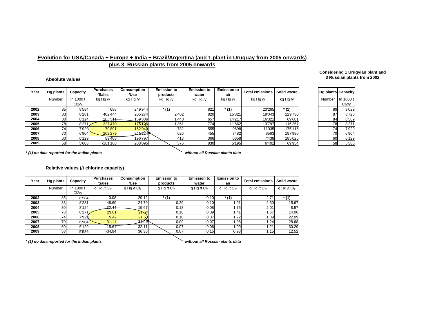## **plus 3 Russian plants from 2005 onwards Evolution for USA/Canada + Europe + India + Brazil/Argentina (and 1 plant in Uruguay from 2005 onwards)**

#### **Absolute values**

| Year | <b>Hg plants</b> | Capacity  | <b>Purchases</b><br>/Sales | Consumption<br>/Use | <b>Emission to</b><br>products | <b>Emission to</b><br>water | <b>Emission to</b><br>air | <b>Total emissions</b> | Solid waste | <b>Hg plants Capacity</b> |           |
|------|------------------|-----------|----------------------------|---------------------|--------------------------------|-----------------------------|---------------------------|------------------------|-------------|---------------------------|-----------|
|      | Number           | In 1000 t | kg Hg /y                   | kg Hg /y            | kg Hg /y                       | kg Hg /y                    | kg Hg /y                  | kg Hg /y               | kg Hg /y    | Number                    | In 1000 t |
|      |                  | Cl2/v     |                            |                     |                                |                             |                           |                        |             |                           | Cl2/v     |
| 2002 | 85               | 8'584     | 688                        | 249'944             | $*$ (1)                        | 821                         | * (1                      | 23'265                 | $*$ (1)     | 89                        | 9'029     |
| 2003 | 83               | 8'281     | 402'444                    | 205'274             | 2'402                          | 820                         | 15'821                    | 19'043                 | 129'730     | 87                        | 8'726     |
| 2004 | 80               | 8'124     | 263'511                    | 159'806             | 1'448                          | 657                         | 14'217                    | 16'321                 | 69'601      | 84                        | 8'569     |
| 2005 | 781              | 8'271     | 227'470                    | 176706              | 1'361                          | 774                         | 11'662                    | 13'797                 | 116'257     | 78                        | 8'271     |
| 2006 | 74               | 7'929     | 70'891                     | 162'049             | 782                            | 555                         | 9698                      | 11035                  | 175'116     | 74                        | 7'929     |
| 2007 | 70               | 6'904     | 202'279                    | 241224              | 626                            | 455                         | 7482                      | 8563                   | 197'980     | 70                        | 6'904     |
| 2008 | 60               | 6'129     | 89'408                     | 196'797             | 413                            | 366                         | 6658                      | 7'438                  | 185'625     | 60                        | 6'129     |
| 2009 | 58               | 5'603     | $-181'103$                 | 203'095             | 376                            | 830                         | 5'195                     | 6'401                  | 69'954      | 58                        | 5'586     |

*\* (1) no data reported for the Indian plants without all Russian plants data*

#### **Relative values (/t chlorine capacity)**

| Year | Hg plants | Capacity           | <b>Purchases</b><br>/Sales | <b>Consumption</b><br>/Use | <b>Emission to</b><br>products | <b>Emission to</b><br>water | <b>Emission to</b><br>air | <b>Total emissions</b>    | Solid waste   |
|------|-----------|--------------------|----------------------------|----------------------------|--------------------------------|-----------------------------|---------------------------|---------------------------|---------------|
|      | Number    | In 1000 t          | g Hg /t $Cl2$              | g Hg /t Cl <sub>2</sub>    | $g$ Hg /t Cl <sub>2</sub>      | g Hg /t $Cl2$               | $g$ Hg /t Cl <sub>2</sub> | $g$ Hg /t Cl <sub>2</sub> | g Hg /t $Cl2$ |
|      |           | Cl <sub>2</sub> /v |                            |                            |                                |                             |                           |                           |               |
| 2002 | 85        | 8'584              | 0.08                       | 29.12                      | $*$ (1)                        | 0.10                        | $*$ (1)                   | 2.71                      | $*$ (1)       |
| 2003 | 83        | 8'281              | 48.60                      | 24.79                      | 0.29                           | 0.10                        | 91.،                      | 2.30                      | 15.67         |
| 2004 | 80        | 8'124              | 32.44                      | 19.67                      | 0.18                           | 0.08                        | 1.75                      | 2.01                      | 8.57          |
| 2005 | 78        | 8'271              | 29.01                      | 22.54                      | 0.16                           | 0.09                        | 1.41                      | .67                       | 14.06         |
| 2006 | 74        | 7'929              | 9.42                       | 21.53                      | 0.10                           | 0.07                        | .22                       | .39                       | 22.09         |
| 2007 | 70        | 6'904              | 31.11                      | 34.94                      | 0.09                           | 0.07                        | 1.08                      | 1.24                      | 28.68         |
| 2008 | 60        | 6'129              | 15.61                      | 32.11                      | 0.07                           | 0.06                        | 1.09                      | .21                       | 30.29         |
| 2009 | 58        | 5'586              | $-34.94$                   | 36.36                      | 0.07                           | 0.15                        | 0.93                      | 1.15                      | 12.52         |

*\* (1) no data reported for the Indian plants without all Russian plants data*

#### **Considering 1 Urugyian plant and 3 Russian plants from 2002**

| Hg plants | Capacity  |
|-----------|-----------|
| Number    | In 1000 t |
|           | Cl2/v     |
| 89        | 9'029     |
| 87        | 8'726     |
| 84        | 8'569     |
| 78        | 8'271     |
| 74        | 7'929     |
| 70        | 6'904     |
| 60        | 6'129     |
| 58        | 5'586     |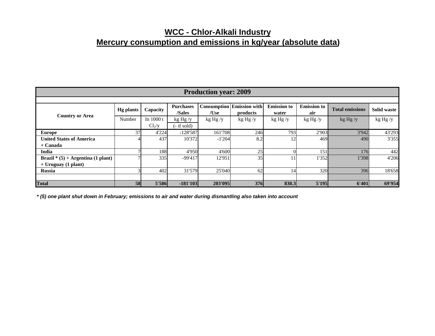# **WCC - Chlor-Alkali Industry Mercury consumption and emissions in kg/year (absolute data)**

| <b>Production year: 2009</b>         |                  |            |                            |          |                                              |                             |                           |                        |             |  |  |
|--------------------------------------|------------------|------------|----------------------------|----------|----------------------------------------------|-----------------------------|---------------------------|------------------------|-------------|--|--|
|                                      |                  |            |                            |          |                                              |                             |                           |                        |             |  |  |
| <b>Country or Area</b>               | <b>Hg plants</b> | Capacity   | <b>Purchases</b><br>/Sales | /Use     | <b>Consumption Emission with</b><br>products | <b>Emission</b> to<br>water | <b>Emission to</b><br>air | <b>Total emissions</b> | Solid waste |  |  |
|                                      | Number           | In $1000t$ | kg Hg /y                   | kg Hg /y | kg Hg / y                                    | kg Hg /y                    | kg Hg /y                  | kg Hg/y                | kg Hg /y    |  |  |
|                                      |                  | $Cl_2/y$   | $-$ if sold)               |          |                                              |                             |                           |                        |             |  |  |
| <b>Europe</b>                        | 37               | 4'224      | $-128'587$                 | 161'708  | 246                                          | 793                         | 2'903                     | 3'942                  | 43'293      |  |  |
| <b>United States of America</b>      |                  | 437        | 10'372                     | $-1'204$ | 8.2                                          | 12                          | 469                       | 490                    | 3'355       |  |  |
| + Canada                             |                  |            |                            |          |                                              |                             |                           |                        |             |  |  |
| India                                |                  | 188        | 4'950                      | 4'600    | 25                                           |                             | 151                       | 176                    | 442         |  |  |
| Brazil * $(5)$ + Argentina (1 plant) |                  | 335        | $-99'417$                  | 12'951   | 35                                           |                             | 1'352                     | 1'398                  | 4'206       |  |  |
| $+ Uruguay (1 plant)$                |                  |            |                            |          |                                              |                             |                           |                        |             |  |  |
| <b>Russia</b>                        |                  | 402        | 31'579                     | 25'040   | 62                                           | 14                          | 320                       | 396                    | 18'658      |  |  |
|                                      |                  |            |                            |          |                                              |                             |                           |                        |             |  |  |
| <b>Total</b>                         | <b>58</b>        | 5'586      | $-181'103$                 | 203'095  | 376                                          | 830.3                       | 5'195                     | 6'401                  | 69'954      |  |  |

*\* (5) one plant shut down in February; emissions to air and water during dismantling also taken into account*